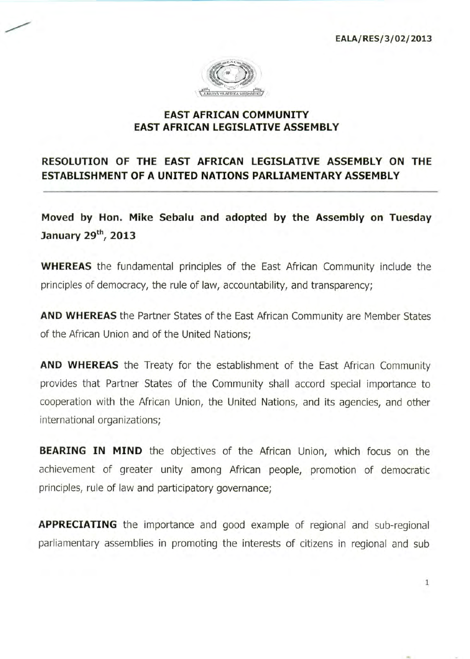**EALA/RES/3/02/2013** 

1



## **EAST AFRICAN COMMUNITY EAST AFRICAN LEGISLATIVE ASSEMBLY**

## **RESOLUTION OF THE EAST AFRICAN LEGISLATIVE ASSEMBLY ON THE ESTABLISHMENT OF A UNITED NATIONS PARLIAMENTARY ASSEMBLY**

**Moved by Hon. Mike Sebalu and adopted by the Assembly on Tuesday January 29th, 2013** 

**WHEREAS** the fundamental principles of the East African Community include the principles of democracy, the rule of law, accountability, and transparency;

**AND WHEREAS** the Partner States of the East African Community are Member States of the African Union and of the United Nations;

**AND WHEREAS** the Treaty for the establishment of the East African Community provides that Partner States of the Community shall accord special importance to cooperation with the African Union, the United Nations, and its agencies, and other international organizations;

**BEARING IN MIND** the objectives of the African Union, which focus on the achievement of greater unity among African people, promotion of democratic principles, rule of law and participatory governance;

**APPRECIATING** the importance and good example of regional and sub-regional parliamentary assemblies in promoting the interests of citizens in regional and sub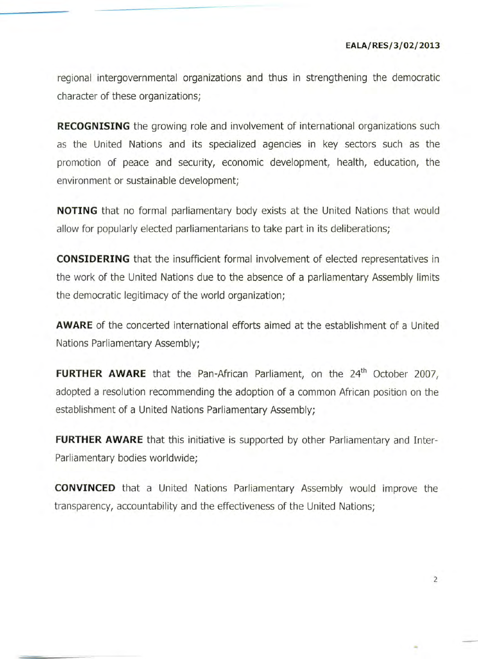regional intergovernmental organizations and thus in strengthening the democratic character of these organizations;

**RECOGNISING** the growing role and involvement of international organizations such as the United Nations and its specialized agencies in key sectors such as the promotion of peace and security, economic development, health, education, the environment or sustainable development;

**NOTING** that no formal parliamentary body exists at the United Nations that would allow for popularly elected parliamentarians to take part in its deliberations;

**CONSIDERING** that the insufficient formal involvement of elected representatives in the work of the United Nations due to the absence of a parliamentary Assembly limits the democratic legitimacy of the world organization;

**AWARE** of the concerted international efforts aimed at the establishment of a United Nations Parliamentary Assembly;

**FURTHER AWARE** that the Pan-African Parliament, on the 24<sup>th</sup> October 2007, adopted a resolution recommending the adoption of a common African position on the establishment of a United Nations Parliamentary Assembly;

**FURTHER AWARE** that this initiative is supported by other Parliamentary and Inter-Parliamentary bodies worldwide;

**CONVINCED** that a United Nations Parliamentary Assembly would improve the transparency, accountability and the effectiveness of the United Nations;

2